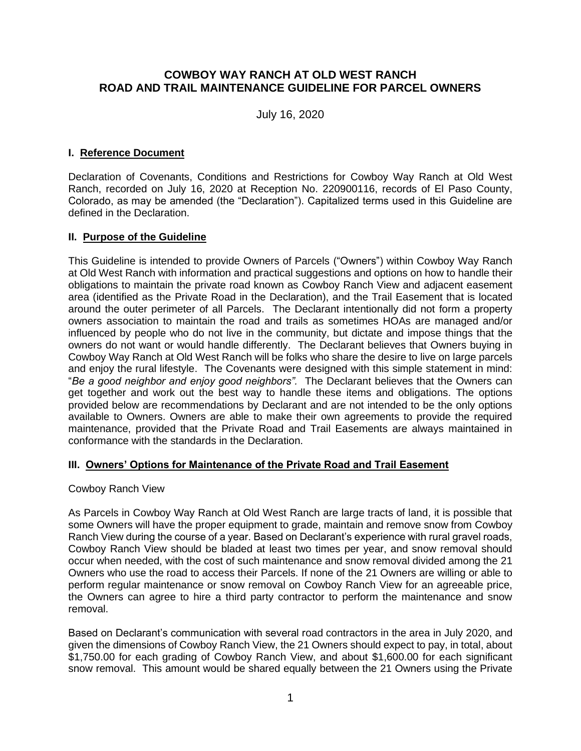# **COWBOY WAY RANCH AT OLD WEST RANCH ROAD AND TRAIL MAINTENANCE GUIDELINE FOR PARCEL OWNERS**

July 16, 2020

### **I. Reference Document**

Declaration of Covenants, Conditions and Restrictions for Cowboy Way Ranch at Old West Ranch, recorded on July 16, 2020 at Reception No. 220900116, records of El Paso County, Colorado, as may be amended (the "Declaration"). Capitalized terms used in this Guideline are defined in the Declaration.

## **II. Purpose of the Guideline**

This Guideline is intended to provide Owners of Parcels ("Owners") within Cowboy Way Ranch at Old West Ranch with information and practical suggestions and options on how to handle their obligations to maintain the private road known as Cowboy Ranch View and adjacent easement area (identified as the Private Road in the Declaration), and the Trail Easement that is located around the outer perimeter of all Parcels. The Declarant intentionally did not form a property owners association to maintain the road and trails as sometimes HOAs are managed and/or influenced by people who do not live in the community, but dictate and impose things that the owners do not want or would handle differently. The Declarant believes that Owners buying in Cowboy Way Ranch at Old West Ranch will be folks who share the desire to live on large parcels and enjoy the rural lifestyle. The Covenants were designed with this simple statement in mind: "*Be a good neighbor and enjoy good neighbors".* The Declarant believes that the Owners can get together and work out the best way to handle these items and obligations. The options provided below are recommendations by Declarant and are not intended to be the only options available to Owners. Owners are able to make their own agreements to provide the required maintenance, provided that the Private Road and Trail Easements are always maintained in conformance with the standards in the Declaration.

#### **III. Owners' Options for Maintenance of the Private Road and Trail Easement**

#### Cowboy Ranch View

As Parcels in Cowboy Way Ranch at Old West Ranch are large tracts of land, it is possible that some Owners will have the proper equipment to grade, maintain and remove snow from Cowboy Ranch View during the course of a year. Based on Declarant's experience with rural gravel roads, Cowboy Ranch View should be bladed at least two times per year, and snow removal should occur when needed, with the cost of such maintenance and snow removal divided among the 21 Owners who use the road to access their Parcels. If none of the 21 Owners are willing or able to perform regular maintenance or snow removal on Cowboy Ranch View for an agreeable price, the Owners can agree to hire a third party contractor to perform the maintenance and snow removal.

Based on Declarant's communication with several road contractors in the area in July 2020, and given the dimensions of Cowboy Ranch View, the 21 Owners should expect to pay, in total, about \$1,750.00 for each grading of Cowboy Ranch View, and about \$1,600.00 for each significant snow removal. This amount would be shared equally between the 21 Owners using the Private